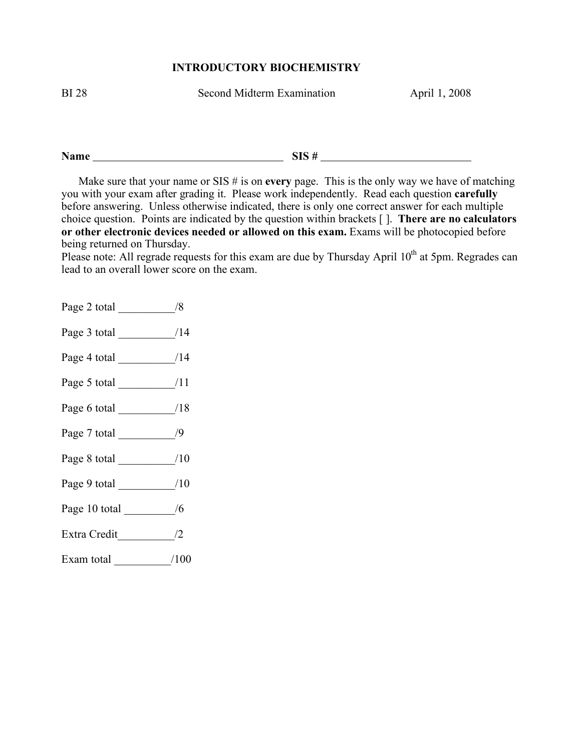## **INTRODUCTORY BIOCHEMISTRY**

BI 28 Second Midterm Examination April 1, 2008

**Name SIS #** 

Make sure that your name or  $SIS \#$  is on **every** page. This is the only way we have of matching you with your exam after grading it. Please work independently. Read each question **carefully** before answering. Unless otherwise indicated, there is only one correct answer for each multiple choice question. Points are indicated by the question within brackets [ ]. **There are no calculators or other electronic devices needed or allowed on this exam.** Exams will be photocopied before being returned on Thursday.

Please note: All regrade requests for this exam are due by Thursday April 10<sup>th</sup> at 5pm. Regrades can lead to an overall lower score on the exam.

Page 2 total  $\frac{1}{8}$ Page 3 total \_\_\_\_\_\_\_\_\_\_/14 Page 4 total  $/14$ Page 5 total  $/11$ Page 6 total  $/18$ Page 7 total  $/9$ Page 8 total  $/10$ Page 9 total  $/10$ Page 10 total \_\_\_\_\_\_\_\_\_/6 Extra Credit\_\_\_\_\_\_\_\_\_\_/2 Exam total  $/100$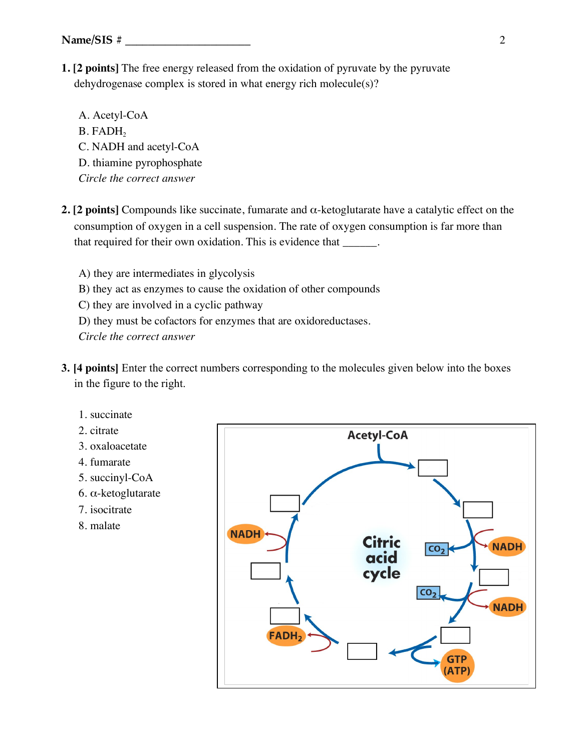**1. [2 points]** The free energy released from the oxidation of pyruvate by the pyruvate dehydrogenase complex is stored in what energy rich molecule(s)?

A. Acetyl-CoA B. FADH<sub>2</sub> C. NADH and acetyl-CoA D. thiamine pyrophosphate *Circle the correct answer*

**2. [2 points]** Compounds like succinate, fumarate and  $\alpha$ -ketoglutarate have a catalytic effect on the consumption of oxygen in a cell suspension. The rate of oxygen consumption is far more than that required for their own oxidation. This is evidence that \_\_\_\_\_\_.

A) they are intermediates in glycolysis B) they act as enzymes to cause the oxidation of other compounds C) they are involved in a cyclic pathway D) they must be cofactors for enzymes that are oxidoreductases.

- **3. [4 points]** Enter the correct numbers corresponding to the molecules given below into the boxes in the figure to the right.
	- 1. succinate
	- 2. citrate
	- 3. oxaloacetate
	- 4. fumarate
	- 5. succinyl-CoA
	- 6. α-ketoglutarate
	- 7. isocitrate
	- 8. malate

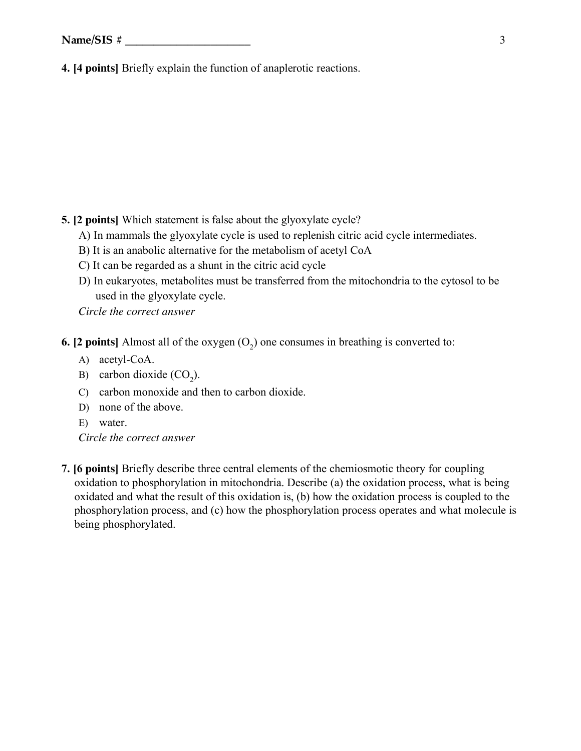**4. [4 points]** Briefly explain the function of anaplerotic reactions.

**5. [2 points]** Which statement is false about the glyoxylate cycle?

- A) In mammals the glyoxylate cycle is used to replenish citric acid cycle intermediates.
- B) It is an anabolic alternative for the metabolism of acetyl CoA
- C) It can be regarded as a shunt in the citric acid cycle
- D) In eukaryotes, metabolites must be transferred from the mitochondria to the cytosol to be used in the glyoxylate cycle.

*Circle the correct answer*

**6. [2 points]** Almost all of the oxygen  $(O<sub>2</sub>)$  one consumes in breathing is converted to:

- A) acetyl-CoA.
- B) carbon dioxide  $(CO_2)$ .
- C) carbon monoxide and then to carbon dioxide.
- D) none of the above.
- E) water.

*Circle the correct answer*

**7. [6 points]** Briefly describe three central elements of the chemiosmotic theory for coupling oxidation to phosphorylation in mitochondria. Describe (a) the oxidation process, what is being oxidated and what the result of this oxidation is, (b) how the oxidation process is coupled to the phosphorylation process, and (c) how the phosphorylation process operates and what molecule is being phosphorylated.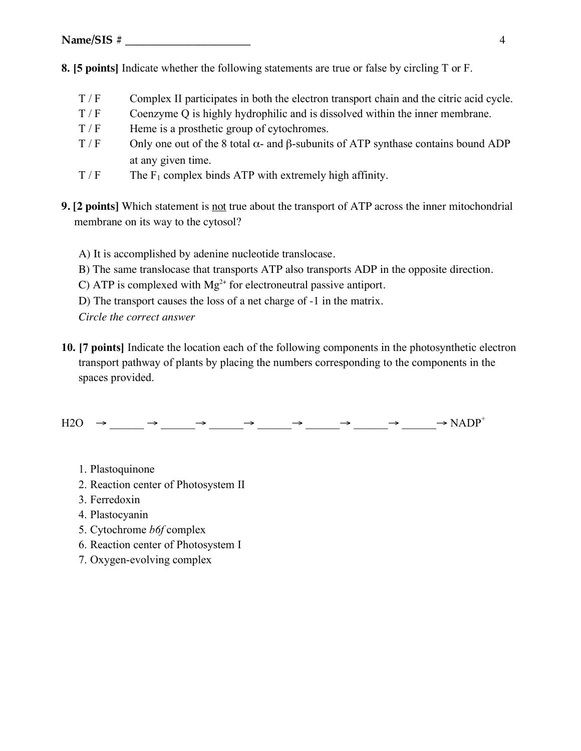- **8. [5 points]** Indicate whether the following statements are true or false by circling T or F.
	- T / F Complex II participates in both the electron transport chain and the citric acid cycle.
	- T / F Coenzyme Q is highly hydrophilic and is dissolved within the inner membrane.
	- $T / F$  Heme is a prosthetic group of cytochromes.
	- T / F Only one out of the 8 total  $\alpha$  and  $\beta$ -subunits of ATP synthase contains bound ADP at any given time.
	- $T / F$  The F<sub>1</sub> complex binds ATP with extremely high affinity.
- **9. [2 points]** Which statement is not true about the transport of ATP across the inner mitochondrial membrane on its way to the cytosol?
	- A) It is accomplished by adenine nucleotide translocase.
	- B) The same translocase that transports ATP also transports ADP in the opposite direction.
	- C) ATP is complexed with  $Mg^{2+}$  for electroneutral passive antiport.
	- D) The transport causes the loss of a net charge of -1 in the matrix.

*Circle the correct answer*

**10. [7 points]** Indicate the location each of the following components in the photosynthetic electron transport pathway of plants by placing the numbers corresponding to the components in the spaces provided.

 $H2O \rightarrow \_\_\_ \rightarrow \_\_\_ \rightarrow \_\_\_ \rightarrow \_\_\_ \rightarrow \_\_\_ \rightarrow \_\_\_ \rightarrow \_\_ \rightarrow \_\_ \rightarrow \_\_ \rightarrow \$ 

- 1. Plastoquinone
- 2. Reaction center of Photosystem II
- 3. Ferredoxin
- 4. Plastocyanin
- 5. Cytochrome *b6f* complex
- 6. Reaction center of Photosystem I
- 7. Oxygen-evolving complex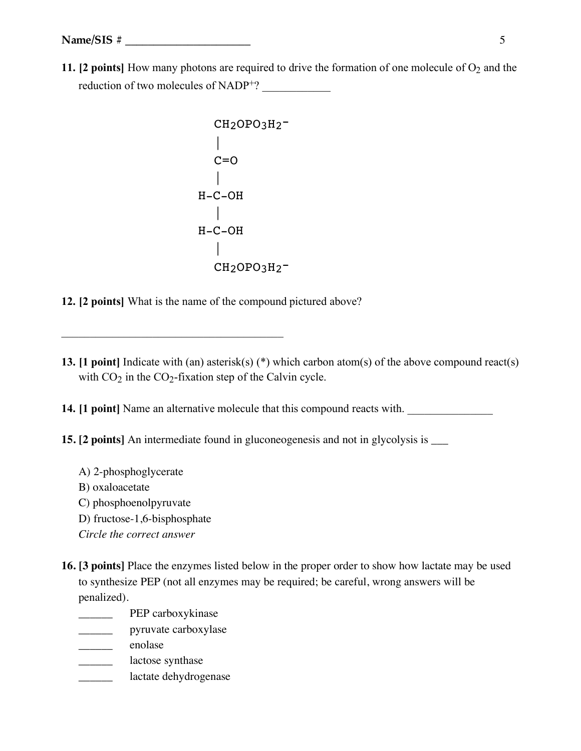**11. [2 points]** How many photons are required to drive the formation of one molecule of  $O_2$  and the reduction of two molecules of NADP<sup>+</sup>?

```
 CH2OPO3H2-
||
    C=O\blacksquareH-C-OH
||
H-C-OH
     |
   CH<sub>2</sub>OPO<sub>3</sub>H<sub>2</sub>-
```
**12. [2 points]** What is the name of the compound pictured above?

 $\mathcal{L}_\text{max}$  and  $\mathcal{L}_\text{max}$  and  $\mathcal{L}_\text{max}$  and  $\mathcal{L}_\text{max}$ 

**13. [1 point]** Indicate with (an) asterisk(s) (\*) which carbon atom(s) of the above compound react(s) with  $CO<sub>2</sub>$  in the  $CO<sub>2</sub>$ -fixation step of the Calvin cycle.

**14. [1 point]** Name an alternative molecule that this compound reacts with.

**15. [2 points]** An intermediate found in gluconeogenesis and not in glycolysis is  $\_\_$ 

- A) 2-phosphoglycerate
- B) oxaloacetate
- C) phosphoenolpyruvate
- D) fructose-1,6-bisphosphate
- *Circle the correct answer*
- **16. [3 points]** Place the enzymes listed below in the proper order to show how lactate may be used to synthesize PEP (not all enzymes may be required; be careful, wrong answers will be penalized).
	- \_\_\_\_\_\_\_\_\_\_ PEP carboxykinase
	- \_\_\_\_\_\_ pyruvate carboxylase
	- \_\_\_\_\_\_ enolase
	- **\_\_\_\_\_\_\_** lactose synthase
	- lactate dehydrogenase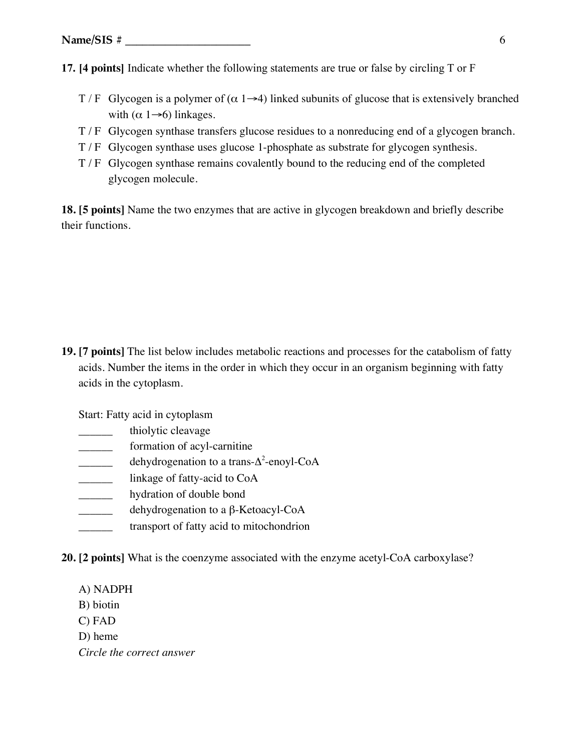**17. [4 points]** Indicate whether the following statements are true or false by circling T or F

- T / F Glycogen is a polymer of  $(\alpha 1\rightarrow 4)$  linked subunits of glucose that is extensively branched with  $(\alpha 1 \rightarrow 6)$  linkages.
- T / F Glycogen synthase transfers glucose residues to a nonreducing end of a glycogen branch.
- T / F Glycogen synthase uses glucose 1-phosphate as substrate for glycogen synthesis.
- T / F Glycogen synthase remains covalently bound to the reducing end of the completed glycogen molecule.

**18. [5 points]** Name the two enzymes that are active in glycogen breakdown and briefly describe their functions.

**19. [7 points]** The list below includes metabolic reactions and processes for the catabolism of fatty acids. Number the items in the order in which they occur in an organism beginning with fatty acids in the cytoplasm.

Start: Fatty acid in cytoplasm

- thiolytic cleavage
- formation of acyl-carnitine
- $\frac{1}{\text{dehydrogenation to a trans-}\Delta^2\text{-enoyl-CoA}}$
- \_\_\_\_\_\_ linkage of fatty-acid to CoA
- **\_\_\_\_\_\_\_** hydration of double bond
- dehydrogenation to a β-Ketoacyl-CoA
- \_\_\_\_\_\_ transport of fatty acid to mitochondrion
- **20. [2 points]** What is the coenzyme associated with the enzyme acetyl-CoA carboxylase?
	- A) NADPH
	- B) biotin
	- C) FAD
	- D) heme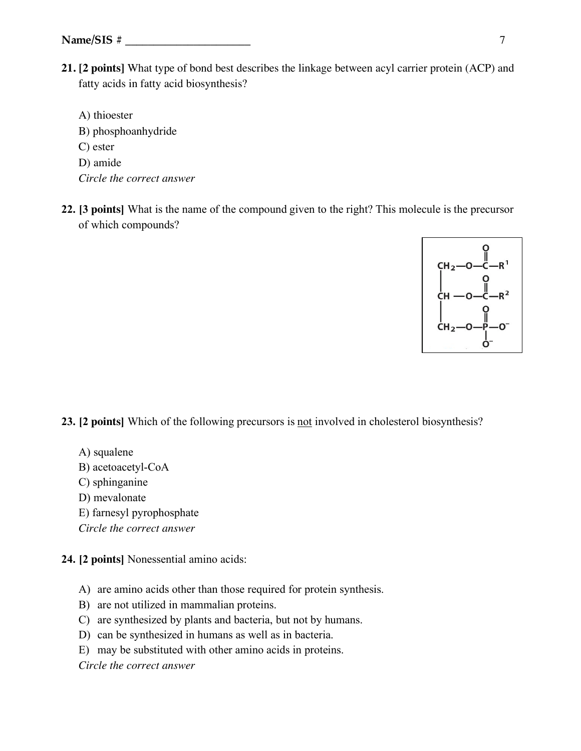**21. [2 points]** What type of bond best describes the linkage between acyl carrier protein (ACP) and fatty acids in fatty acid biosynthesis?

A) thioester B) phosphoanhydride C) ester D) amide *Circle the correct answer*

**22. [3 points]** What is the name of the compound given to the right? This molecule is the precursor of which compounds?



**23. [2 points]** Which of the following precursors is not involved in cholesterol biosynthesis?

- A) squalene
- B) acetoacetyl-CoA
- C) sphinganine
- D) mevalonate
- E) farnesyl pyrophosphate
- *Circle the correct answer*

**24. [2 points]** Nonessential amino acids:

- A) are amino acids other than those required for protein synthesis.
- B) are not utilized in mammalian proteins.
- C) are synthesized by plants and bacteria, but not by humans.
- D) can be synthesized in humans as well as in bacteria.
- E) may be substituted with other amino acids in proteins.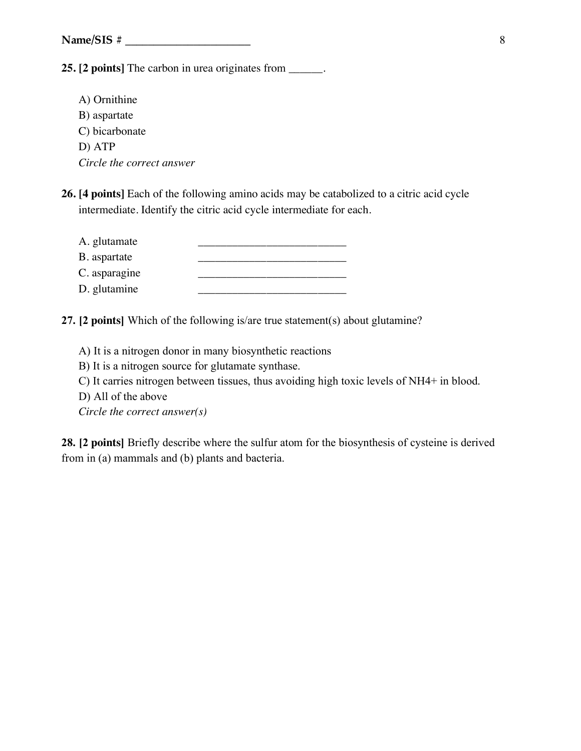**25. [2 points]** The carbon in urea originates from \_\_\_\_\_\_.

- A) Ornithine B) aspartate C) bicarbonate D) ATP *Circle the correct answer*
- **26. [4 points]** Each of the following amino acids may be catabolized to a citric acid cycle intermediate. Identify the citric acid cycle intermediate for each.

| A. glutamate  |  |
|---------------|--|
| B. aspartate  |  |
| C. asparagine |  |
| D. glutamine  |  |

**27. [2 points]** Which of the following is/are true statement(s) about glutamine?

- A) It is a nitrogen donor in many biosynthetic reactions
- B) It is a nitrogen source for glutamate synthase.
- C) It carries nitrogen between tissues, thus avoiding high toxic levels of NH4+ in blood.
- D) All of the above

*Circle the correct answer(s)*

**28. [2 points]** Briefly describe where the sulfur atom for the biosynthesis of cysteine is derived from in (a) mammals and (b) plants and bacteria.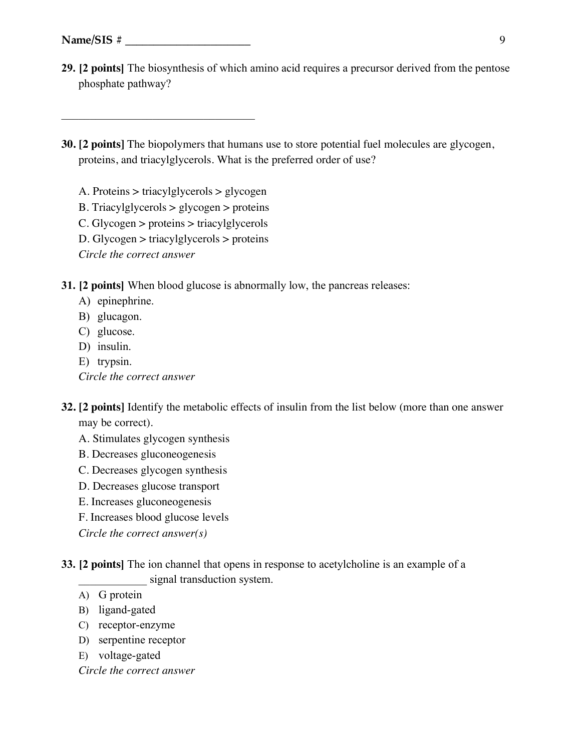**29. [2 points]** The biosynthesis of which amino acid requires a precursor derived from the pentose phosphate pathway?

## **30. [2 points]** The biopolymers that humans use to store potential fuel molecules are glycogen, proteins, and triacylglycerols. What is the preferred order of use?

A. Proteins > triacylglycerols > glycogen

 $\mathcal{L}_\text{max}$  , and the set of the set of the set of the set of the set of the set of the set of the set of the set of the set of the set of the set of the set of the set of the set of the set of the set of the set of the

- B. Triacylglycerols > glycogen > proteins
- C. Glycogen > proteins > triacylglycerols
- D. Glycogen > triacylglycerols > proteins

*Circle the correct answer*

**31. [2 points]** When blood glucose is abnormally low, the pancreas releases:

- A) epinephrine.
- B) glucagon.
- C) glucose.
- D) insulin.
- E) trypsin.
- *Circle the correct answer*
- **32. [2 points]** Identify the metabolic effects of insulin from the list below (more than one answer may be correct).
	- A. Stimulates glycogen synthesis
	- B. Decreases gluconeogenesis
	- C. Decreases glycogen synthesis
	- D. Decreases glucose transport
	- E. Increases gluconeogenesis
	- F. Increases blood glucose levels

*Circle the correct answer(s)*

- **33. [2 points]** The ion channel that opens in response to acetylcholine is an example of a signal transduction system.
	- A) G protein
	- B) ligand-gated
	- C) receptor-enzyme
	- D) serpentine receptor
	- E) voltage-gated